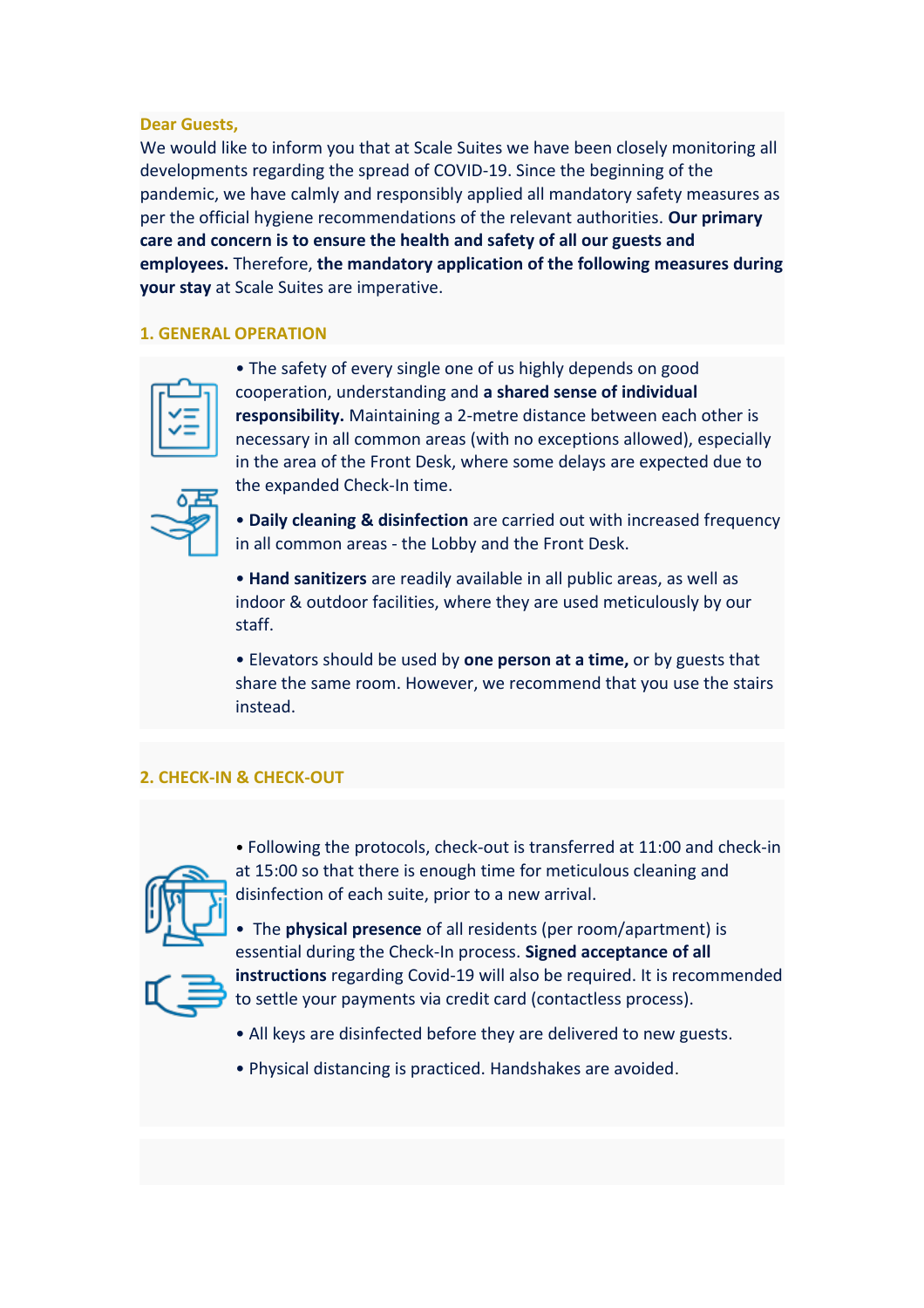### **Dear Guests,**

We would like to inform you that at Scale Suites we have been closely monitoring all developments regarding the spread of COVID-19. Since the beginning of the pandemic, we have calmly and responsibly applied all mandatory safety measures as per the official hygiene recommendations of the relevant authorities. **Our primary care and concern is to ensure the health and safety of all our guests and employees.** Therefore, **the mandatory application of the following measures during your stay** at Scale Suites are imperative.

#### **1. GENERAL OPERATION**

• The safety of every single one of us highly depends on good cooperation, understanding and **a shared sense of individual responsibility.** Maintaining a 2-metre distance between each other is necessary in all common areas (with no exceptions allowed), especially in the area of the Front Desk, where some delays are expected due to the expanded Check-In time.



• **Daily cleaning & disinfection** are carried out with increased frequency in all common areas - the Lobby and the Front Desk.

• **Hand sanitizers** are readily available in all public areas, as well as indoor & outdoor facilities, where they are used meticulously by our staff.

• Elevators should be used by **one person at a time,** or by guests that share the same room. However, we recommend that you use the stairs instead.

# **2. CHECK-IN & CHECK-OUT**



• Following the protocols, check-out is transferred at 11:00 and check-in at 15:00 so that there is enough time for meticulous cleaning and disinfection of each suite, prior to a new arrival.



• The **physical presence** of all residents (per room/apartment) is essential during the Check-In process. **Signed acceptance of all instructions** regarding Covid-19 will also be required. It is recommended

- to settle your payments via credit card (contactless process).
- All keys are disinfected before they are delivered to new guests.
- Physical distancing is practiced. Handshakes are avoided.